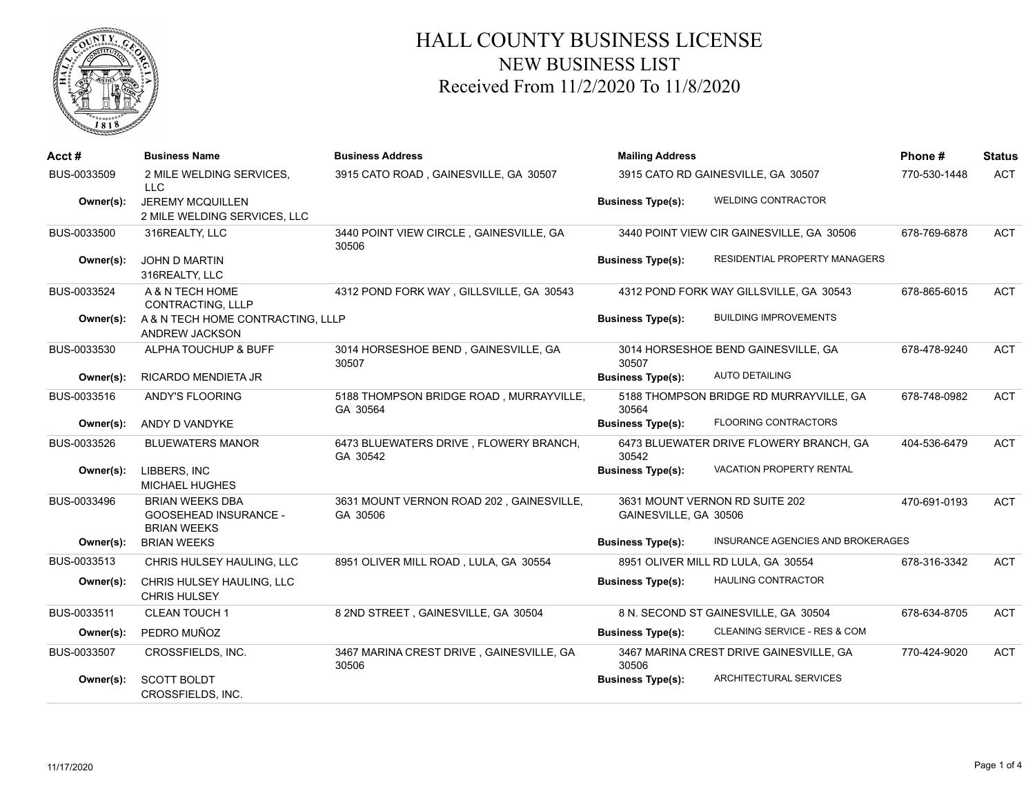

| Acct#       | <b>Business Name</b>                                                         | <b>Business Address</b>                              | <b>Mailing Address</b>             |                                           | Phone#       | <b>Status</b> |
|-------------|------------------------------------------------------------------------------|------------------------------------------------------|------------------------------------|-------------------------------------------|--------------|---------------|
| BUS-0033509 | 2 MILE WELDING SERVICES,<br><b>LLC</b>                                       | 3915 CATO ROAD, GAINESVILLE, GA 30507                | 3915 CATO RD GAINESVILLE, GA 30507 |                                           | 770-530-1448 | <b>ACT</b>    |
| Owner(s):   | <b>JEREMY MCQUILLEN</b>                                                      |                                                      | <b>Business Type(s):</b>           | <b>WELDING CONTRACTOR</b>                 |              |               |
|             | 2 MILE WELDING SERVICES, LLC                                                 |                                                      |                                    |                                           |              |               |
| BUS-0033500 | 316REALTY, LLC                                                               | 3440 POINT VIEW CIRCLE, GAINESVILLE, GA<br>30506     |                                    | 3440 POINT VIEW CIR GAINESVILLE, GA 30506 | 678-769-6878 | <b>ACT</b>    |
| Owner(s):   | JOHN D MARTIN<br>316REALTY, LLC                                              |                                                      | <b>Business Type(s):</b>           | RESIDENTIAL PROPERTY MANAGERS             |              |               |
| BUS-0033524 | A & N TECH HOME<br>CONTRACTING, LLLP                                         | 4312 POND FORK WAY, GILLSVILLE, GA 30543             |                                    | 4312 POND FORK WAY GILLSVILLE, GA 30543   | 678-865-6015 | <b>ACT</b>    |
| Owner(s):   | A & N TECH HOME CONTRACTING, LLLP<br>ANDREW JACKSON                          |                                                      | <b>Business Type(s):</b>           | <b>BUILDING IMPROVEMENTS</b>              |              |               |
| BUS-0033530 | ALPHA TOUCHUP & BUFF                                                         | 3014 HORSESHOE BEND, GAINESVILLE, GA<br>30507        | 30507                              | 3014 HORSESHOE BEND GAINESVILLE, GA       | 678-478-9240 | <b>ACT</b>    |
| Owner(s):   | RICARDO MENDIETA JR                                                          |                                                      | <b>Business Type(s):</b>           | <b>AUTO DETAILING</b>                     |              |               |
| BUS-0033516 | <b>ANDY'S FLOORING</b>                                                       | 5188 THOMPSON BRIDGE ROAD, MURRAYVILLE,<br>GA 30564  | 30564                              | 5188 THOMPSON BRIDGE RD MURRAYVILLE, GA   | 678-748-0982 | <b>ACT</b>    |
| Owner(s):   | ANDY D VANDYKE                                                               |                                                      | <b>Business Type(s):</b>           | <b>FLOORING CONTRACTORS</b>               |              |               |
| BUS-0033526 | <b>BLUEWATERS MANOR</b>                                                      | 6473 BLUEWATERS DRIVE, FLOWERY BRANCH,<br>GA 30542   | 30542                              | 6473 BLUEWATER DRIVE FLOWERY BRANCH, GA   | 404-536-6479 | <b>ACT</b>    |
| Owner(s):   | LIBBERS, INC<br><b>MICHAEL HUGHES</b>                                        |                                                      | <b>Business Type(s):</b>           | VACATION PROPERTY RENTAL                  |              |               |
| BUS-0033496 | <b>BRIAN WEEKS DBA</b><br><b>GOOSEHEAD INSURANCE -</b><br><b>BRIAN WEEKS</b> | 3631 MOUNT VERNON ROAD 202, GAINESVILLE,<br>GA 30506 | GAINESVILLE, GA 30506              | 3631 MOUNT VERNON RD SUITE 202            | 470-691-0193 | <b>ACT</b>    |
| Owner(s):   | <b>BRIAN WEEKS</b>                                                           |                                                      | <b>Business Type(s):</b>           | INSURANCE AGENCIES AND BROKERAGES         |              |               |
| BUS-0033513 | CHRIS HULSEY HAULING, LLC                                                    | 8951 OLIVER MILL ROAD, LULA, GA 30554                |                                    | 8951 OLIVER MILL RD LULA, GA 30554        | 678-316-3342 | <b>ACT</b>    |
| Owner(s):   | CHRIS HULSEY HAULING, LLC<br><b>CHRIS HULSEY</b>                             |                                                      | <b>Business Type(s):</b>           | <b>HAULING CONTRACTOR</b>                 |              |               |
| BUS-0033511 | CLEAN TOUCH 1                                                                | 8 2ND STREET, GAINESVILLE, GA 30504                  |                                    | 8 N. SECOND ST GAINESVILLE, GA 30504      | 678-634-8705 | <b>ACT</b>    |
| Owner(s):   | PEDRO MUÑOZ                                                                  |                                                      | <b>Business Type(s):</b>           | CLEANING SERVICE - RES & COM              |              |               |
| BUS-0033507 | CROSSFIELDS, INC.                                                            | 3467 MARINA CREST DRIVE, GAINESVILLE, GA<br>30506    | 30506                              | 3467 MARINA CREST DRIVE GAINESVILLE, GA   | 770-424-9020 | <b>ACT</b>    |
| Owner(s):   | <b>SCOTT BOLDT</b><br>CROSSFIELDS, INC.                                      |                                                      | <b>Business Type(s):</b>           | ARCHITECTURAL SERVICES                    |              |               |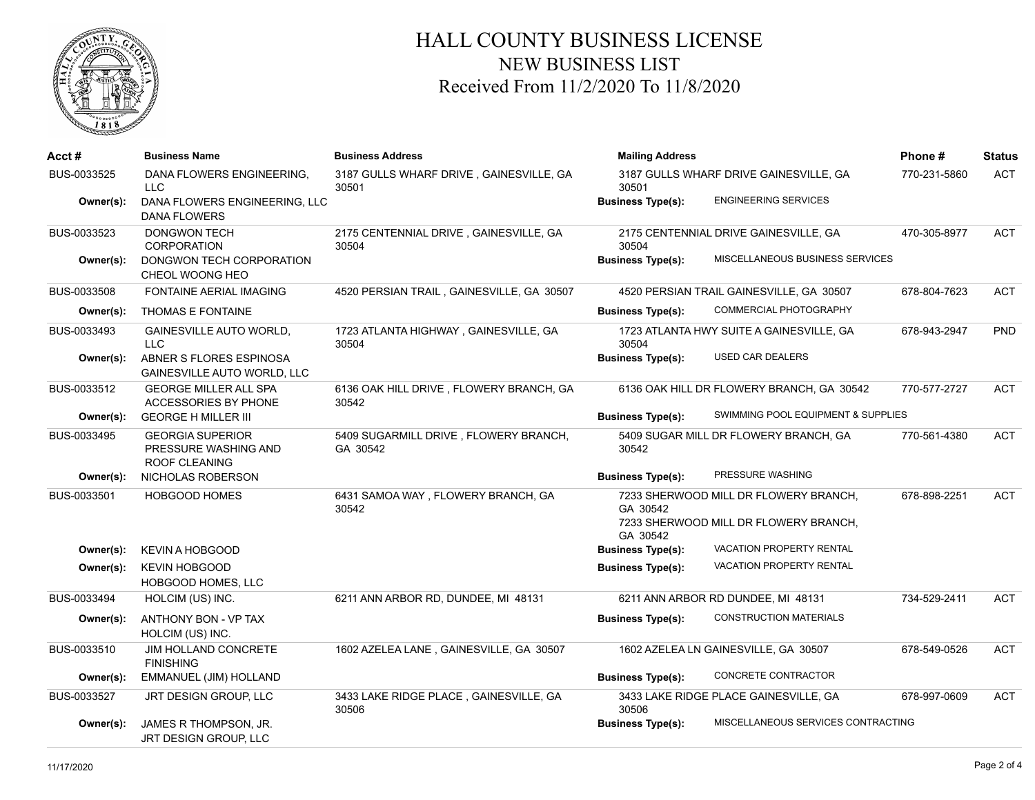

| Acct#       | <b>Business Name</b>                                                    | <b>Business Address</b>                           | <b>Mailing Address</b>   |                                                                                | Phone#       | <b>Status</b> |
|-------------|-------------------------------------------------------------------------|---------------------------------------------------|--------------------------|--------------------------------------------------------------------------------|--------------|---------------|
| BUS-0033525 | DANA FLOWERS ENGINEERING.<br>LLC                                        | 3187 GULLS WHARF DRIVE, GAINESVILLE, GA<br>30501  | 30501                    | 3187 GULLS WHARF DRIVE GAINESVILLE, GA                                         | 770-231-5860 | <b>ACT</b>    |
| Owner(s):   | DANA FLOWERS ENGINEERING, LLC<br><b>DANA FLOWERS</b>                    |                                                   | <b>Business Type(s):</b> | <b>ENGINEERING SERVICES</b>                                                    |              |               |
| BUS-0033523 | <b>DONGWON TECH</b><br><b>CORPORATION</b>                               | 2175 CENTENNIAL DRIVE, GAINESVILLE, GA<br>30504   | 30504                    | 2175 CENTENNIAL DRIVE GAINESVILLE, GA<br>MISCELLANEOUS BUSINESS SERVICES       | 470-305-8977 | <b>ACT</b>    |
| Owner(s):   | DONGWON TECH CORPORATION<br>CHEOL WOONG HEO                             |                                                   | <b>Business Type(s):</b> |                                                                                |              |               |
| BUS-0033508 | <b>FONTAINE AERIAL IMAGING</b>                                          | 4520 PERSIAN TRAIL, GAINESVILLE, GA 30507         |                          | 4520 PERSIAN TRAIL GAINESVILLE, GA 30507                                       | 678-804-7623 | <b>ACT</b>    |
| Owner(s):   | <b>THOMAS E FONTAINE</b>                                                |                                                   | <b>Business Type(s):</b> | COMMERCIAL PHOTOGRAPHY                                                         |              |               |
| BUS-0033493 | GAINESVILLE AUTO WORLD,<br>$\sqcup$ C                                   | 1723 ATLANTA HIGHWAY, GAINESVILLE, GA<br>30504    | 30504                    | 1723 ATLANTA HWY SUITE A GAINESVILLE, GA                                       | 678-943-2947 | PND           |
| Owner(s):   | ABNER S FLORES ESPINOSA<br><b>GAINESVILLE AUTO WORLD, LLC</b>           |                                                   | <b>Business Type(s):</b> | <b>USED CAR DEALERS</b>                                                        |              |               |
| BUS-0033512 | <b>GEORGE MILLER ALL SPA</b><br>ACCESSORIES BY PHONE                    | 6136 OAK HILL DRIVE, FLOWERY BRANCH, GA<br>30542  |                          | 6136 OAK HILL DR FLOWERY BRANCH, GA 30542                                      | 770-577-2727 | <b>ACT</b>    |
| Owner(s):   | <b>GEORGE H MILLER III</b>                                              |                                                   | <b>Business Type(s):</b> | <b>SWIMMING POOL EQUIPMENT &amp; SUPPLIES</b>                                  |              |               |
| BUS-0033495 | <b>GEORGIA SUPERIOR</b><br>PRESSURE WASHING AND<br><b>ROOF CLEANING</b> | 5409 SUGARMILL DRIVE, FLOWERY BRANCH,<br>GA 30542 | 30542                    | 5409 SUGAR MILL DR FLOWERY BRANCH, GA                                          | 770-561-4380 | <b>ACT</b>    |
| Owner(s):   | NICHOLAS ROBERSON                                                       |                                                   | <b>Business Type(s):</b> | PRESSURE WASHING                                                               |              |               |
| BUS-0033501 | <b>HOBGOOD HOMES</b>                                                    | 6431 SAMOA WAY, FLOWERY BRANCH, GA<br>30542       | GA 30542<br>GA 30542     | 7233 SHERWOOD MILL DR FLOWERY BRANCH,<br>7233 SHERWOOD MILL DR FLOWERY BRANCH, | 678-898-2251 | <b>ACT</b>    |
| Owner(s):   | <b>KEVIN A HOBGOOD</b>                                                  |                                                   | <b>Business Type(s):</b> | <b>VACATION PROPERTY RENTAL</b>                                                |              |               |
| Owner(s):   | <b>KEVIN HOBGOOD</b><br>HOBGOOD HOMES, LLC                              |                                                   | <b>Business Type(s):</b> | <b>VACATION PROPERTY RENTAL</b>                                                |              |               |
| BUS-0033494 | HOLCIM (US) INC.                                                        | 6211 ANN ARBOR RD, DUNDEE, MI 48131               |                          | 6211 ANN ARBOR RD DUNDEE, MI 48131                                             | 734-529-2411 | <b>ACT</b>    |
| Owner(s):   | ANTHONY BON - VP TAX<br>HOLCIM (US) INC.                                |                                                   | <b>Business Type(s):</b> | <b>CONSTRUCTION MATERIALS</b>                                                  |              |               |
| BUS-0033510 | <b>JIM HOLLAND CONCRETE</b><br><b>FINISHING</b>                         | 1602 AZELEA LANE, GAINESVILLE, GA 30507           |                          | 1602 AZELEA LN GAINESVILLE, GA 30507                                           | 678-549-0526 | <b>ACT</b>    |
| Owner(s):   | EMMANUEL (JIM) HOLLAND                                                  |                                                   | <b>Business Type(s):</b> | CONCRETE CONTRACTOR                                                            |              |               |
| BUS-0033527 | JRT DESIGN GROUP, LLC                                                   | 3433 LAKE RIDGE PLACE, GAINESVILLE, GA<br>30506   | 30506                    | 3433 LAKE RIDGE PLACE GAINESVILLE, GA                                          | 678-997-0609 | <b>ACT</b>    |
| Owner(s):   | JAMES R THOMPSON, JR.<br>JRT DESIGN GROUP, LLC                          |                                                   | <b>Business Type(s):</b> | MISCELLANEOUS SERVICES CONTRACTING                                             |              |               |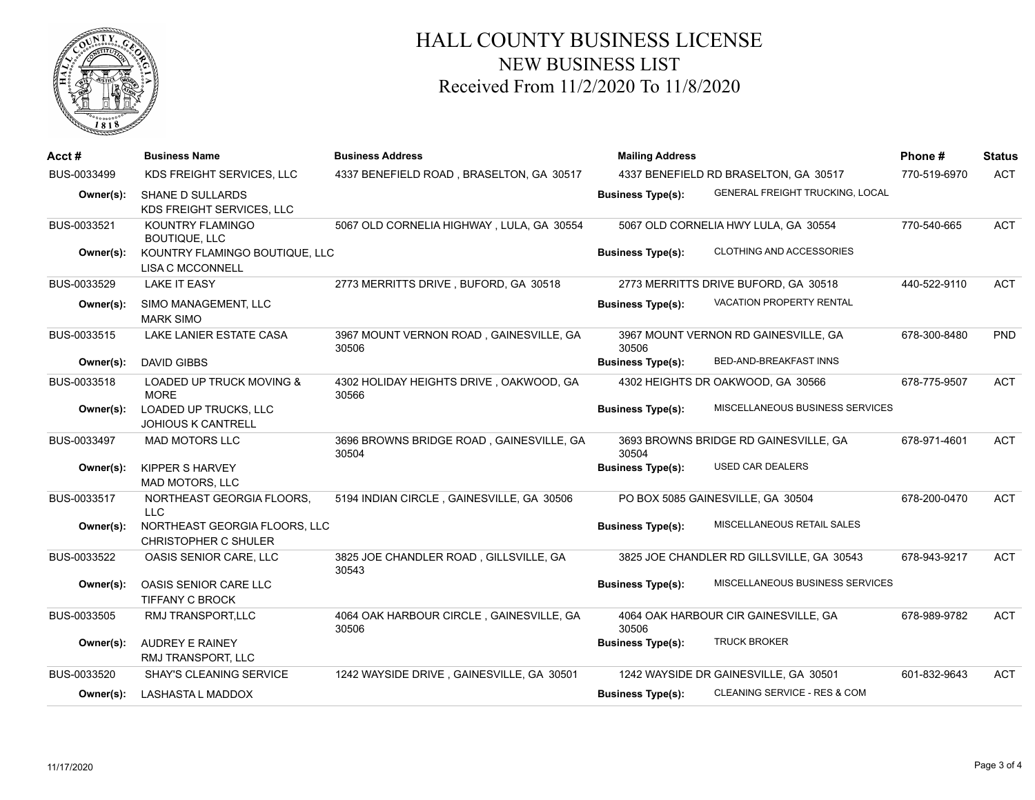

| Acct#       | <b>Business Name</b>                                         | <b>Business Address</b>                           | <b>Mailing Address</b>                |                                           | Phone#       | <b>Status</b> |
|-------------|--------------------------------------------------------------|---------------------------------------------------|---------------------------------------|-------------------------------------------|--------------|---------------|
| BUS-0033499 | KDS FREIGHT SERVICES, LLC                                    | 4337 BENEFIELD ROAD, BRASELTON, GA 30517          | 4337 BENEFIELD RD BRASELTON, GA 30517 |                                           | 770-519-6970 | <b>ACT</b>    |
| Owner(s):   | SHANE D SULLARDS<br>KDS FREIGHT SERVICES, LLC                |                                                   | <b>Business Type(s):</b>              | <b>GENERAL FREIGHT TRUCKING, LOCAL</b>    |              |               |
| BUS-0033521 | KOUNTRY FLAMINGO<br><b>BOUTIQUE, LLC</b>                     | 5067 OLD CORNELIA HIGHWAY, LULA, GA 30554         |                                       | 5067 OLD CORNELIA HWY LULA, GA 30554      | 770-540-665  | <b>ACT</b>    |
| Owner(s):   | KOUNTRY FLAMINGO BOUTIQUE, LLC<br><b>LISA C MCCONNELL</b>    |                                                   | <b>Business Type(s):</b>              | <b>CLOTHING AND ACCESSORIES</b>           |              |               |
| BUS-0033529 | <b>LAKE IT EASY</b>                                          | 2773 MERRITTS DRIVE, BUFORD, GA 30518             |                                       | 2773 MERRITTS DRIVE BUFORD, GA 30518      | 440-522-9110 | <b>ACT</b>    |
| Owner(s):   | SIMO MANAGEMENT, LLC<br><b>MARK SIMO</b>                     |                                                   | <b>Business Type(s):</b>              | VACATION PROPERTY RENTAL                  |              |               |
| BUS-0033515 | <b>LAKE LANIER ESTATE CASA</b>                               | 3967 MOUNT VERNON ROAD, GAINESVILLE, GA<br>30506  | 30506                                 | 3967 MOUNT VERNON RD GAINESVILLE, GA      | 678-300-8480 | <b>PND</b>    |
| Owner(s):   | <b>DAVID GIBBS</b>                                           |                                                   | <b>Business Type(s):</b>              | BED-AND-BREAKFAST INNS                    |              |               |
| BUS-0033518 | <b>LOADED UP TRUCK MOVING &amp;</b><br><b>MORE</b>           | 4302 HOLIDAY HEIGHTS DRIVE, OAKWOOD, GA<br>30566  |                                       | 4302 HEIGHTS DR OAKWOOD, GA 30566         | 678-775-9507 | <b>ACT</b>    |
| Owner(s):   | LOADED UP TRUCKS, LLC<br><b>JOHIOUS K CANTRELL</b>           |                                                   | <b>Business Type(s):</b>              | <b>MISCELLANEOUS BUSINESS SERVICES</b>    |              |               |
| BUS-0033497 | <b>MAD MOTORS LLC</b>                                        | 3696 BROWNS BRIDGE ROAD, GAINESVILLE, GA<br>30504 | 30504                                 | 3693 BROWNS BRIDGE RD GAINESVILLE, GA     | 678-971-4601 | <b>ACT</b>    |
| Owner(s):   | <b>KIPPER S HARVEY</b><br>MAD MOTORS, LLC                    |                                                   | <b>Business Type(s):</b>              | <b>USED CAR DEALERS</b>                   |              |               |
| BUS-0033517 | NORTHEAST GEORGIA FLOORS,<br><b>LLC</b>                      | 5194 INDIAN CIRCLE, GAINESVILLE, GA 30506         |                                       | PO BOX 5085 GAINESVILLE, GA 30504         | 678-200-0470 | <b>ACT</b>    |
| Owner(s):   | NORTHEAST GEORGIA FLOORS, LLC<br><b>CHRISTOPHER C SHULER</b> |                                                   | <b>Business Type(s):</b>              | MISCELLANEOUS RETAIL SALES                |              |               |
| BUS-0033522 | OASIS SENIOR CARE, LLC                                       | 3825 JOE CHANDLER ROAD, GILLSVILLE, GA<br>30543   |                                       | 3825 JOE CHANDLER RD GILLSVILLE, GA 30543 | 678-943-9217 | <b>ACT</b>    |
| Owner(s):   | OASIS SENIOR CARE LLC<br><b>TIFFANY C BROCK</b>              |                                                   | <b>Business Type(s):</b>              | <b>MISCELLANEOUS BUSINESS SERVICES</b>    |              |               |
| BUS-0033505 | RMJ TRANSPORT, LLC                                           | 4064 OAK HARBOUR CIRCLE, GAINESVILLE, GA<br>30506 | 30506                                 | 4064 OAK HARBOUR CIR GAINESVILLE, GA      | 678-989-9782 | <b>ACT</b>    |
| Owner(s):   | <b>AUDREY E RAINEY</b><br>RMJ TRANSPORT, LLC                 |                                                   | <b>Business Type(s):</b>              | <b>TRUCK BROKER</b>                       |              |               |
| BUS-0033520 | <b>SHAY'S CLEANING SERVICE</b>                               | 1242 WAYSIDE DRIVE, GAINESVILLE, GA 30501         |                                       | 1242 WAYSIDE DR GAINESVILLE, GA 30501     | 601-832-9643 | <b>ACT</b>    |
| Owner(s):   | <b>LASHASTA L MADDOX</b>                                     |                                                   | <b>Business Type(s):</b>              | CLEANING SERVICE - RES & COM              |              |               |
|             |                                                              |                                                   |                                       |                                           |              |               |